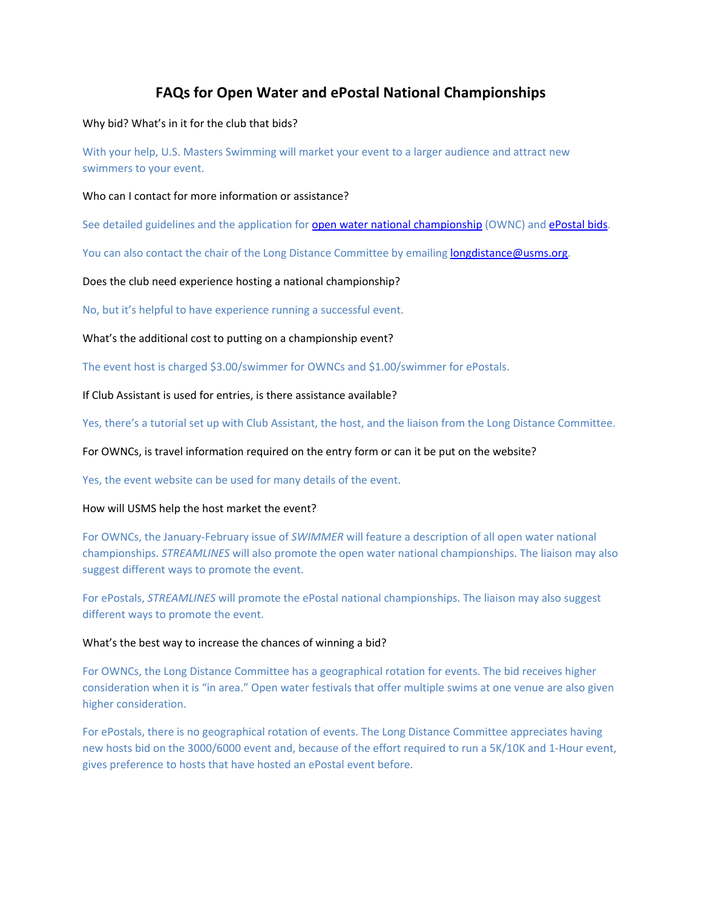## **FAQs for Open Water and ePostal National Championships**

Why bid? What's in it for the club that bids?

With your help, U.S. Masters Swimming will market your event to a larger audience and attract new swimmers to your event.

## Who can I contact for more information or assistance?

See detailed guidelines and the application for **open water national championship** (OWNC) and **[ePostal bids](https://www.usms.org/events/national-championships/epostal-national-championships)**.

You can also contact the chair of the Long Distance Committee by emailing [longdistance@usms.org.](mailto:longdistance@usms.org)

Does the club need experience hosting a national championship?

No, but it's helpful to have experience running a successful event.

What's the additional cost to putting on a championship event?

The event host is charged \$3.00/swimmer for OWNCs and \$1.00/swimmer for ePostals.

If Club Assistant is used for entries, is there assistance available?

Yes, there's a tutorial set up with Club Assistant, the host, and the liaison from the Long Distance Committee.

For OWNCs, is travel information required on the entry form or can it be put on the website?

Yes, the event website can be used for many details of the event.

## How will USMS help the host market the event?

For OWNCs, the January-February issue of *SWIMMER* will feature a description of all open water national championships. *STREAMLINES* will also promote the open water national championships. The liaison may also suggest different ways to promote the event.

For ePostals, *STREAMLINES* will promote the ePostal national championships. The liaison may also suggest different ways to promote the event.

## What's the best way to increase the chances of winning a bid?

For OWNCs, the Long Distance Committee has a geographical rotation for events. The bid receives higher consideration when it is "in area." Open water festivals that offer multiple swims at one venue are also given higher consideration.

For ePostals, there is no geographical rotation of events. The Long Distance Committee appreciates having new hosts bid on the 3000/6000 event and, because of the effort required to run a 5K/10K and 1-Hour event, gives preference to hosts that have hosted an ePostal event before.